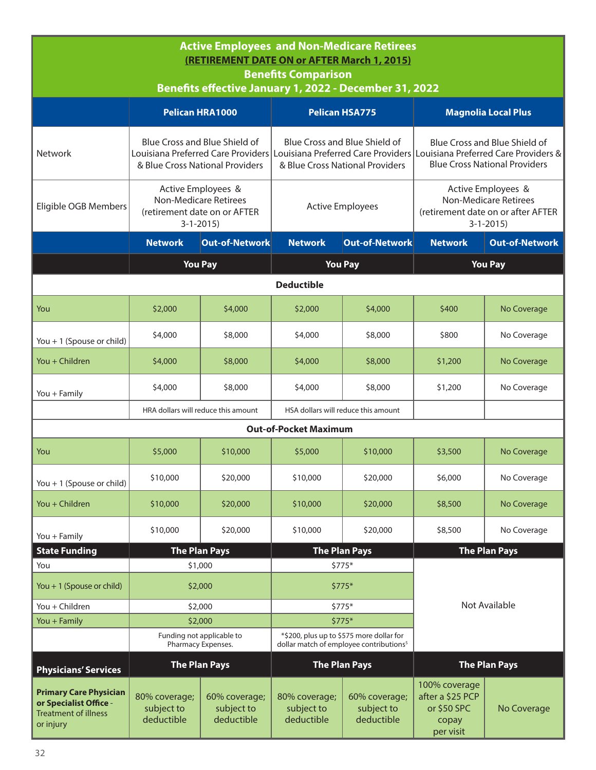| <b>Active Employees and Non-Medicare Retirees</b><br>(RETIREMENT DATE ON or AFTER March 1, 2015)<br><b>Benefits Comparison</b><br>Benefits effective January 1, 2022 - December 31, 2022 |                                                                                                                                                                                       |                                                                  |                                           |                                                                  |                                                                                                        |                                                                       |  |  |
|------------------------------------------------------------------------------------------------------------------------------------------------------------------------------------------|---------------------------------------------------------------------------------------------------------------------------------------------------------------------------------------|------------------------------------------------------------------|-------------------------------------------|------------------------------------------------------------------|--------------------------------------------------------------------------------------------------------|-----------------------------------------------------------------------|--|--|
|                                                                                                                                                                                          | Pelican HRA1000                                                                                                                                                                       |                                                                  |                                           | <b>Pelican HSA775</b>                                            |                                                                                                        | <b>Magnolia Local Plus</b>                                            |  |  |
| <b>Network</b>                                                                                                                                                                           | <b>Blue Cross and Blue Shield of</b><br>Louisiana Preferred Care Providers Louisiana Preferred Care Providers Louisiana Preferred Care Providers &<br>& Blue Cross National Providers |                                                                  |                                           | Blue Cross and Blue Shield of<br>& Blue Cross National Providers |                                                                                                        | Blue Cross and Blue Shield of<br><b>Blue Cross National Providers</b> |  |  |
| Eligible OGB Members                                                                                                                                                                     | <b>Non-Medicare Retirees</b>                                                                                                                                                          | Active Employees &<br>(retirement date on or AFTER<br>$3-1-2015$ | <b>Active Employees</b>                   |                                                                  | Active Employees &<br><b>Non-Medicare Retirees</b><br>(retirement date on or after AFTER<br>$3-1-2015$ |                                                                       |  |  |
|                                                                                                                                                                                          | <b>Network</b>                                                                                                                                                                        | Out-of-Network                                                   | <b>Network</b>                            | <b>Out-of-Network</b>                                            | <b>Network</b>                                                                                         | <b>Out-of-Network</b>                                                 |  |  |
|                                                                                                                                                                                          |                                                                                                                                                                                       | <b>You Pay</b>                                                   |                                           | <b>You Pay</b>                                                   |                                                                                                        | <b>You Pay</b>                                                        |  |  |
| <b>Deductible</b>                                                                                                                                                                        |                                                                                                                                                                                       |                                                                  |                                           |                                                                  |                                                                                                        |                                                                       |  |  |
| You                                                                                                                                                                                      | \$2,000                                                                                                                                                                               | \$4,000                                                          | \$2,000                                   | \$4,000                                                          | \$400                                                                                                  | No Coverage                                                           |  |  |
| You + 1 (Spouse or child)                                                                                                                                                                | \$4,000                                                                                                                                                                               | \$8,000                                                          | \$4,000                                   | \$8,000                                                          | \$800                                                                                                  | No Coverage                                                           |  |  |
| You + Children                                                                                                                                                                           | \$4,000                                                                                                                                                                               | \$8,000                                                          | \$4,000                                   | \$8,000                                                          | \$1,200                                                                                                | No Coverage                                                           |  |  |
| You + Family                                                                                                                                                                             | \$4,000                                                                                                                                                                               | \$8,000                                                          | \$4,000                                   | \$8,000                                                          | \$1,200                                                                                                | No Coverage                                                           |  |  |
|                                                                                                                                                                                          |                                                                                                                                                                                       | HRA dollars will reduce this amount                              | HSA dollars will reduce this amount       |                                                                  |                                                                                                        |                                                                       |  |  |
|                                                                                                                                                                                          |                                                                                                                                                                                       |                                                                  | <b>Out-of-Pocket Maximum</b>              |                                                                  |                                                                                                        |                                                                       |  |  |
| You                                                                                                                                                                                      | \$5,000                                                                                                                                                                               | \$10,000                                                         | \$5,000                                   | \$10,000                                                         | \$3,500                                                                                                | No Coverage                                                           |  |  |
| You + 1 (Spouse or child)                                                                                                                                                                | \$10,000                                                                                                                                                                              | \$20,000                                                         | \$10,000                                  | \$20,000                                                         | \$6,000                                                                                                | No Coverage                                                           |  |  |
| You + Children                                                                                                                                                                           | \$10,000                                                                                                                                                                              | \$20,000                                                         | \$10,000                                  | \$20,000                                                         | \$8,500                                                                                                | No Coverage                                                           |  |  |
| You + Family                                                                                                                                                                             | \$10,000                                                                                                                                                                              | \$20,000                                                         | \$10,000                                  | \$20,000                                                         | \$8,500                                                                                                | No Coverage                                                           |  |  |
| <b>State Funding</b>                                                                                                                                                                     |                                                                                                                                                                                       | <b>The Plan Pays</b>                                             |                                           | <b>The Plan Pays</b>                                             |                                                                                                        | <b>The Plan Pays</b>                                                  |  |  |
| You                                                                                                                                                                                      |                                                                                                                                                                                       | \$1,000                                                          |                                           | \$775*                                                           |                                                                                                        |                                                                       |  |  |
| You + 1 (Spouse or child)                                                                                                                                                                | \$2,000<br>$$775*$                                                                                                                                                                    |                                                                  |                                           |                                                                  |                                                                                                        |                                                                       |  |  |
| You + Children                                                                                                                                                                           | \$2,000<br>$$775*$                                                                                                                                                                    |                                                                  | Not Available                             |                                                                  |                                                                                                        |                                                                       |  |  |
| You + Family                                                                                                                                                                             | $$775*$<br>\$2,000<br>Funding not applicable to<br>*\$200, plus up to \$575 more dollar for                                                                                           |                                                                  |                                           |                                                                  |                                                                                                        |                                                                       |  |  |
|                                                                                                                                                                                          | dollar match of employee contributions <sup>5</sup><br>Pharmacy Expenses.                                                                                                             |                                                                  |                                           |                                                                  |                                                                                                        |                                                                       |  |  |
| <b>Physicians' Services</b>                                                                                                                                                              |                                                                                                                                                                                       | <b>The Plan Pays</b>                                             |                                           | <b>The Plan Pays</b>                                             |                                                                                                        | <b>The Plan Pays</b>                                                  |  |  |
| <b>Primary Care Physician</b><br>or Specialist Office -<br><b>Treatment of illness</b><br>or injury                                                                                      | 80% coverage;<br>subject to<br>deductible                                                                                                                                             | 60% coverage;<br>subject to<br>deductible                        | 80% coverage;<br>subject to<br>deductible | 60% coverage;<br>subject to<br>deductible                        | 100% coverage<br>after a \$25 PCP<br>or \$50 SPC<br>copay<br>per visit                                 | No Coverage                                                           |  |  |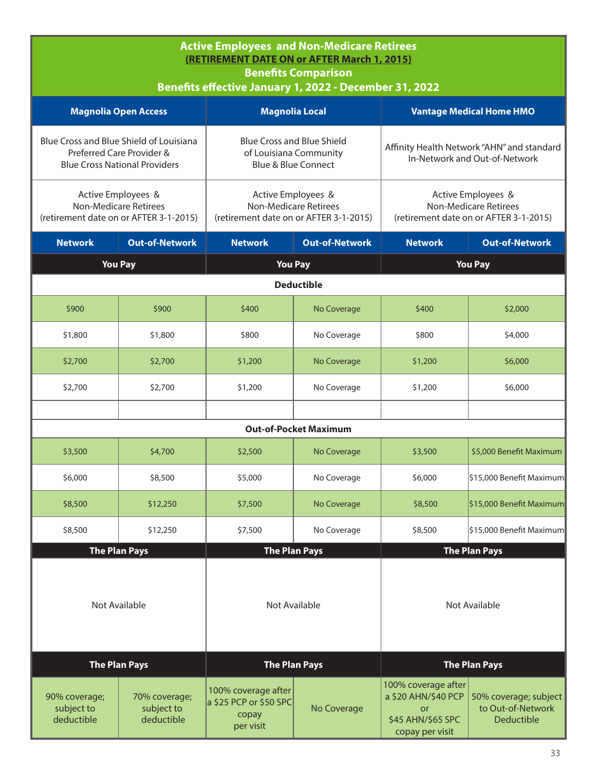## **Active Employees and Non-Medicare Retirees (RETIREMENT DATE ON or AFTER March 1, 2015) Benefits Comparison Benefits effective January 1, 2022 - December 31, 2022 Magnolia Open Access Magnolia Local Vantage Medical Home HMO** Blue Cross and Blue Shield of Louisiana Preferred Care Provider & Blue Cross National Providers Blue Cross and Blue Shield of Louisiana Community Blue & Blue Connect Affinity Health Network "AHN" and standard In-Network and Out-of-Network Active Employees & Non-Medicare Retirees (retirement date on or AFTER 3-1-2015) Active Employees & Non-Medicare Retirees (retirement date on or AFTER 3-1-2015) Active Employees & Non-Medicare Retirees (retirement date on or AFTER 3-1-2015) **Network Out-of-Network Network Out-of-Network Network Out-of-Network You Pay You Pay You Pay Deductible** \$900 \$900 \$400 No Coverage \$400 \$2,000  $$1,800$   $$1,800$   $$800$   $$0$  No Coverage  $$51,800$   $$4,000$ \$2,700 | \$2,700 | \$1,200 | No Coverage | \$1,200 | \$6,000 \$2,700 \$2,700 \$1,200 No Coverage \$1,200 \$6,000 **Out-of-Pocket Maximum** \$3,500 | \$4,700 | \$2,500 | No Coverage | \$3,500 | \$5,000 Benefit Maximum \$6,000 \$8,500 \$5,000 No Coverage \$6,000 \$15,000 Benefit Maximum \$8,500 \ \$12,250 \ \$7,500 \ No Coverage \ \$8,500 \ \$15,000 Benefit Maximum \$8,500 \$12,250 \$7,500 No Coverage \$8,500 \$15,000 Benefit Maximum **The Plan Pays The Plan Pays The Plan Pays** Not Available Not Available Not Available

| <b>The Plan Pays</b>                      |                                           |                                                                             | <b>The Plan Pays</b> | <b>The Plan Pays</b>                                              |                                                                                             |
|-------------------------------------------|-------------------------------------------|-----------------------------------------------------------------------------|----------------------|-------------------------------------------------------------------|---------------------------------------------------------------------------------------------|
| 90% coverage;<br>subject to<br>deductible | 70% coverage;<br>subject to<br>deductible | 100% coverage after<br>$\vert$ a \$25 PCP or \$50 SPC<br>copay<br>per visit | No Coverage          | 100% coverage after<br>Οľ<br>\$45 AHN/\$65 SPC<br>copay per visit | a \$20 AHN/\$40 PCP $\vert$ 50% coverage; subject<br>to Out-of-Network<br><b>Deductible</b> |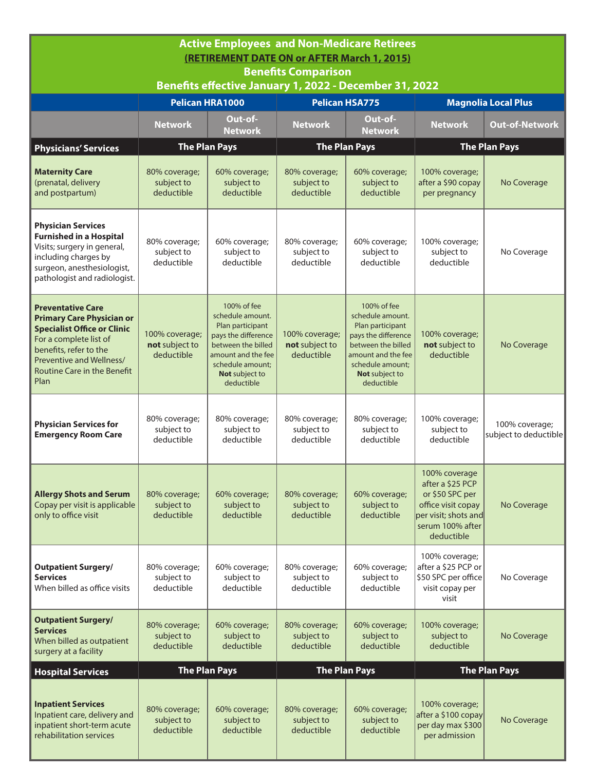| <b>Active Employees and Non-Medicare Retirees</b><br><b>(RETIREMENT DATE ON or AFTER March 1, 2015)</b><br><b>Benefits Comparison</b>                                                                                     |                                                |                                                                                                                                                                            |                                                |                                                                                                                                                                            |                                                                                                                                      |                                         |  |
|---------------------------------------------------------------------------------------------------------------------------------------------------------------------------------------------------------------------------|------------------------------------------------|----------------------------------------------------------------------------------------------------------------------------------------------------------------------------|------------------------------------------------|----------------------------------------------------------------------------------------------------------------------------------------------------------------------------|--------------------------------------------------------------------------------------------------------------------------------------|-----------------------------------------|--|
|                                                                                                                                                                                                                           |                                                | Benefits effective January 1, 2022 - December 31, 2022                                                                                                                     |                                                |                                                                                                                                                                            |                                                                                                                                      |                                         |  |
|                                                                                                                                                                                                                           |                                                | <b>Pelican HRA1000</b>                                                                                                                                                     | <b>Pelican HSA775</b>                          |                                                                                                                                                                            |                                                                                                                                      | Magnolia Local Plus                     |  |
|                                                                                                                                                                                                                           | <b>Network</b>                                 | Out-of-<br><b>Network</b>                                                                                                                                                  | <b>Network</b>                                 | Out-of-<br><b>Network</b>                                                                                                                                                  | <b>Network</b>                                                                                                                       | <b>Out-of-Network</b>                   |  |
| <b>Physicians' Services</b>                                                                                                                                                                                               |                                                | <b>The Plan Pays</b>                                                                                                                                                       |                                                | <b>The Plan Pays</b>                                                                                                                                                       |                                                                                                                                      | <b>The Plan Pays</b>                    |  |
| <b>Maternity Care</b><br>(prenatal, delivery<br>and postpartum)                                                                                                                                                           | 80% coverage;<br>subject to<br>deductible      | 60% coverage;<br>subject to<br>deductible                                                                                                                                  | 80% coverage;<br>subject to<br>deductible      | 60% coverage;<br>subject to<br>deductible                                                                                                                                  | 100% coverage;<br>after a \$90 copay<br>per pregnancy                                                                                | No Coverage                             |  |
| <b>Physician Services</b><br><b>Furnished in a Hospital</b><br>Visits; surgery in general,<br>including charges by<br>surgeon, anesthesiologist,<br>pathologist and radiologist.                                          | 80% coverage;<br>subject to<br>deductible      | 60% coverage;<br>subject to<br>deductible                                                                                                                                  | 80% coverage;<br>subject to<br>deductible      | 60% coverage;<br>subject to<br>deductible                                                                                                                                  | 100% coverage;<br>subject to<br>deductible                                                                                           | No Coverage                             |  |
| <b>Preventative Care</b><br><b>Primary Care Physician or</b><br><b>Specialist Office or Clinic</b><br>For a complete list of<br>benefits, refer to the<br>Preventive and Wellness/<br>Routine Care in the Benefit<br>Plan | 100% coverage;<br>not subject to<br>deductible | 100% of fee<br>schedule amount.<br>Plan participant<br>pays the difference<br>between the billed<br>amount and the fee<br>schedule amount;<br>Not subject to<br>deductible | 100% coverage;<br>not subject to<br>deductible | 100% of fee<br>schedule amount.<br>Plan participant<br>pays the difference<br>between the billed<br>amount and the fee<br>schedule amount;<br>Not subject to<br>deductible | 100% coverage;<br>not subject to<br>deductible                                                                                       | No Coverage                             |  |
| <b>Physician Services for</b><br><b>Emergency Room Care</b>                                                                                                                                                               | 80% coverage;<br>subject to<br>deductible      | 80% coverage;<br>subject to<br>deductible                                                                                                                                  | 80% coverage;<br>subject to<br>deductible      | 80% coverage;<br>subject to<br>deductible                                                                                                                                  | 100% coverage;<br>subject to<br>deductible                                                                                           | 100% coverage;<br>subject to deductible |  |
| <b>Allergy Shots and Serum</b><br>Copay per visit is applicable<br>only to office visit                                                                                                                                   | 80% coverage;<br>subject to<br>deductible      | 60% coverage;<br>subject to<br>deductible                                                                                                                                  | 80% coverage;<br>subject to<br>deductible      | 60% coverage;<br>subject to<br>deductible                                                                                                                                  | 100% coverage<br>after a \$25 PCP<br>or \$50 SPC per<br>office visit copay<br>per visit; shots and<br>serum 100% after<br>deductible | No Coverage                             |  |
| <b>Outpatient Surgery/</b><br><b>Services</b><br>When billed as office visits                                                                                                                                             | 80% coverage;<br>subject to<br>deductible      | 60% coverage;<br>subject to<br>deductible                                                                                                                                  | 80% coverage;<br>subject to<br>deductible      | 60% coverage;<br>subject to<br>deductible                                                                                                                                  | 100% coverage;<br>after a \$25 PCP or<br>\$50 SPC per office<br>visit copay per<br>visit                                             | No Coverage                             |  |
| <b>Outpatient Surgery/</b><br><b>Services</b><br>When billed as outpatient<br>surgery at a facility                                                                                                                       | 80% coverage;<br>subject to<br>deductible      | 60% coverage;<br>subject to<br>deductible                                                                                                                                  | 80% coverage;<br>subject to<br>deductible      | 60% coverage;<br>subject to<br>deductible                                                                                                                                  | 100% coverage;<br>subject to<br>deductible                                                                                           | No Coverage                             |  |
| <b>Hospital Services</b>                                                                                                                                                                                                  |                                                | <b>The Plan Pays</b>                                                                                                                                                       |                                                | <b>The Plan Pays</b>                                                                                                                                                       |                                                                                                                                      | <b>The Plan Pays</b>                    |  |
| <b>Inpatient Services</b><br>Inpatient care, delivery and<br>inpatient short-term acute<br>rehabilitation services                                                                                                        | 80% coverage;<br>subject to<br>deductible      | 60% coverage;<br>subject to<br>deductible                                                                                                                                  | 80% coverage;<br>subject to<br>deductible      | 60% coverage;<br>subject to<br>deductible                                                                                                                                  | 100% coverage;<br>after a \$100 copay<br>per day max \$300<br>per admission                                                          | No Coverage                             |  |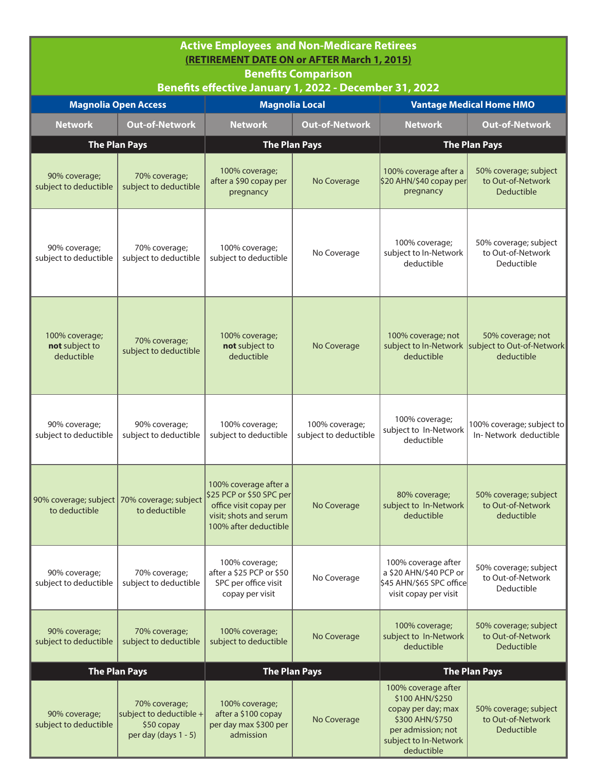| <b>Active Employees and Non-Medicare Retirees</b><br>(RETIREMENT DATE ON or AFTER March 1, 2015)<br><b>Benefits Comparison</b><br>Benefits effective January 1, 2022 - December 31, 2022 |                                                                                |                                                                                                                                |                                         |                                                                                                                                              |                                                                                      |  |
|------------------------------------------------------------------------------------------------------------------------------------------------------------------------------------------|--------------------------------------------------------------------------------|--------------------------------------------------------------------------------------------------------------------------------|-----------------------------------------|----------------------------------------------------------------------------------------------------------------------------------------------|--------------------------------------------------------------------------------------|--|
|                                                                                                                                                                                          | <b>Magnolia Open Access</b>                                                    |                                                                                                                                | <b>Magnolia Local</b>                   |                                                                                                                                              | <b>Vantage Medical Home HMO</b>                                                      |  |
| <b>Network</b>                                                                                                                                                                           | <b>Out-of-Network</b>                                                          | <b>Network</b>                                                                                                                 | <b>Out-of-Network</b>                   | <b>Network</b>                                                                                                                               | <b>Out-of-Network</b>                                                                |  |
|                                                                                                                                                                                          | <b>The Plan Pays</b>                                                           |                                                                                                                                | <b>The Plan Pays</b>                    |                                                                                                                                              | <b>The Plan Pays</b>                                                                 |  |
| 90% coverage;<br>subject to deductible                                                                                                                                                   | 70% coverage;<br>subject to deductible                                         | 100% coverage;<br>after a \$90 copay per<br>pregnancy                                                                          | No Coverage                             | 100% coverage after a<br>\$20 AHN/\$40 copay per<br>pregnancy                                                                                | 50% coverage; subject<br>to Out-of-Network<br><b>Deductible</b>                      |  |
| 90% coverage;<br>subject to deductible                                                                                                                                                   | 70% coverage;<br>subject to deductible                                         | 100% coverage;<br>subject to deductible                                                                                        | No Coverage                             | 100% coverage;<br>subject to In-Network<br>deductible                                                                                        | 50% coverage; subject<br>to Out-of-Network<br>Deductible                             |  |
| 100% coverage;<br>not subject to<br>deductible                                                                                                                                           | 70% coverage;<br>subject to deductible                                         | 100% coverage;<br>not subject to<br>deductible                                                                                 | No Coverage                             | 100% coverage; not<br>deductible                                                                                                             | 50% coverage; not<br>subject to In-Network   subject to Out-of-Network<br>deductible |  |
| 90% coverage;<br>subject to deductible                                                                                                                                                   | 90% coverage;<br>subject to deductible                                         | 100% coverage;<br>subject to deductible                                                                                        | 100% coverage;<br>subject to deductible | 100% coverage;<br>subject to In-Network<br>deductible                                                                                        | 100% coverage; subject to<br>In-Network deductible                                   |  |
| 90% coverage; subject<br>to deductible                                                                                                                                                   | 70% coverage; subject<br>to deductible                                         | 100% coverage after a<br>\$25 PCP or \$50 SPC per<br>office visit copay per<br>visit; shots and serum<br>100% after deductible | No Coverage                             | 80% coverage;<br>subject to In-Network<br>deductible                                                                                         | 50% coverage; subject<br>to Out-of-Network<br>deductible                             |  |
| 90% coverage;<br>subject to deductible                                                                                                                                                   | 70% coverage;<br>subject to deductible                                         | 100% coverage;<br>after a \$25 PCP or \$50<br>SPC per office visit<br>copay per visit                                          | No Coverage                             | 100% coverage after<br>a \$20 AHN/\$40 PCP or<br>\$45 AHN/\$65 SPC office<br>visit copay per visit                                           | 50% coverage; subject<br>to Out-of-Network<br>Deductible                             |  |
| 90% coverage;<br>subject to deductible                                                                                                                                                   | 70% coverage;<br>subject to deductible                                         | 100% coverage;<br>subject to deductible                                                                                        | No Coverage                             | 100% coverage;<br>subject to In-Network<br>deductible                                                                                        | 50% coverage; subject<br>to Out-of-Network<br><b>Deductible</b>                      |  |
|                                                                                                                                                                                          | <b>The Plan Pays</b>                                                           |                                                                                                                                | <b>The Plan Pays</b>                    |                                                                                                                                              | <b>The Plan Pays</b>                                                                 |  |
| 90% coverage;<br>subject to deductible                                                                                                                                                   | 70% coverage;<br>subject to deductible +<br>\$50 copay<br>per day (days 1 - 5) | 100% coverage;<br>after a \$100 copay<br>per day max \$300 per<br>admission                                                    | No Coverage                             | 100% coverage after<br>\$100 AHN/\$250<br>copay per day; max<br>\$300 AHN/\$750<br>per admission; not<br>subject to In-Network<br>deductible | 50% coverage; subject<br>to Out-of-Network<br><b>Deductible</b>                      |  |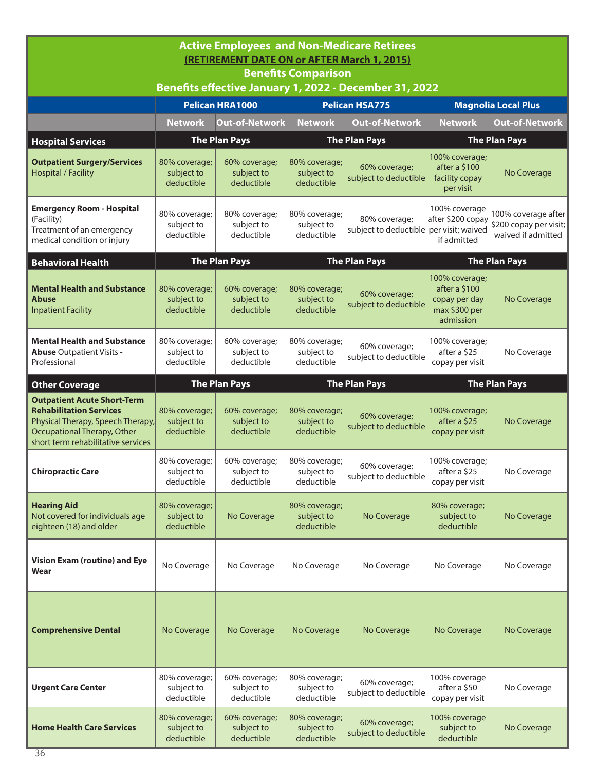| <b>Active Employees and Non-Medicare Retirees</b><br>(RETIREMENT DATE ON or AFTER March 1, 2015)<br><b>Benefits Comparison</b><br>Benefits effective January 1, 2022 - December 31, 2022 |                                           |                                           |                                           |                                                          |                                                                                |                                                                     |  |  |
|------------------------------------------------------------------------------------------------------------------------------------------------------------------------------------------|-------------------------------------------|-------------------------------------------|-------------------------------------------|----------------------------------------------------------|--------------------------------------------------------------------------------|---------------------------------------------------------------------|--|--|
|                                                                                                                                                                                          |                                           | <b>Pelican HRA1000</b>                    |                                           | <b>Pelican HSA775</b>                                    |                                                                                | <b>Magnolia Local Plus</b>                                          |  |  |
|                                                                                                                                                                                          | <b>Network</b>                            | <b>Out-of-Network</b>                     | <b>Network</b>                            | <b>Out-of-Network</b>                                    | <b>Network</b>                                                                 | <b>Out-of-Network</b>                                               |  |  |
| <b>Hospital Services</b>                                                                                                                                                                 |                                           | <b>The Plan Pays</b>                      |                                           | <b>The Plan Pays</b>                                     |                                                                                | <b>The Plan Pays</b>                                                |  |  |
| <b>Outpatient Surgery/Services</b><br><b>Hospital / Facility</b>                                                                                                                         | 80% coverage;<br>subject to<br>deductible | 60% coverage;<br>subject to<br>deductible | 80% coverage;<br>subject to<br>deductible | 60% coverage;<br>subject to deductible                   | 100% coverage;<br>after a \$100<br>facility copay<br>per visit                 | No Coverage                                                         |  |  |
| <b>Emergency Room - Hospital</b><br>(Facility)<br>Treatment of an emergency<br>medical condition or injury                                                                               | 80% coverage;<br>subject to<br>deductible | 80% coverage;<br>subject to<br>deductible | 80% coverage;<br>subject to<br>deductible | 80% coverage;<br>subject to deductible per visit; waived | 100% coverage<br>after \$200 copay<br>if admitted                              | 100% coverage after<br>\$200 copay per visit;<br>waived if admitted |  |  |
| <b>Behavioral Health</b>                                                                                                                                                                 |                                           | <b>The Plan Pays</b>                      |                                           | <b>The Plan Pays</b>                                     |                                                                                | <b>The Plan Pays</b>                                                |  |  |
| <b>Mental Health and Substance</b><br>Abuse<br><b>Inpatient Facility</b>                                                                                                                 | 80% coverage;<br>subject to<br>deductible | 60% coverage;<br>subject to<br>deductible | 80% coverage;<br>subject to<br>deductible | 60% coverage;<br>subject to deductible                   | 100% coverage;<br>after a \$100<br>copay per day<br>max \$300 per<br>admission | No Coverage                                                         |  |  |
| <b>Mental Health and Substance</b><br>Abuse Outpatient Visits -<br>Professional                                                                                                          | 80% coverage;<br>subject to<br>deductible | 60% coverage;<br>subject to<br>deductible | 80% coverage;<br>subject to<br>deductible | 60% coverage;<br>subject to deductible                   | 100% coverage;<br>after a \$25<br>copay per visit                              | No Coverage                                                         |  |  |
| <b>Other Coverage</b>                                                                                                                                                                    |                                           | <b>The Plan Pays</b>                      |                                           | <b>The Plan Pays</b>                                     | <b>The Plan Pays</b>                                                           |                                                                     |  |  |
| <b>Outpatient Acute Short-Term</b><br><b>Rehabilitation Services</b><br>Physical Therapy, Speech Therapy,<br>Occupational Therapy, Other<br>short term rehabilitative services           | 80% coverage;<br>subject to<br>deductible | 60% coverage;<br>subject to<br>deductible | 80% coverage;<br>subject to<br>deductible | 60% coverage;<br>subject to deductible                   | 100% coverage;<br>after a \$25<br>copay per visit                              | No Coverage                                                         |  |  |
| <b>Chiropractic Care</b>                                                                                                                                                                 | 80% coverage;<br>subject to<br>deductible | 60% coverage;<br>subject to<br>deductible | 80% coverage;<br>subject to<br>deductible | 60% coverage;<br>subject to deductible                   | 100% coverage;<br>after a \$25<br>copay per visit                              | No Coverage                                                         |  |  |
| <b>Hearing Aid</b><br>Not covered for individuals age<br>eighteen (18) and older                                                                                                         | 80% coverage;<br>subject to<br>deductible | No Coverage                               | 80% coverage;<br>subject to<br>deductible | No Coverage                                              | 80% coverage;<br>subject to<br>deductible                                      | No Coverage                                                         |  |  |
| Vision Exam (routine) and Eye<br>Wear                                                                                                                                                    | No Coverage                               | No Coverage                               | No Coverage                               | No Coverage                                              | No Coverage                                                                    | No Coverage                                                         |  |  |
| <b>Comprehensive Dental</b>                                                                                                                                                              | No Coverage                               | No Coverage                               | No Coverage                               | No Coverage                                              | No Coverage                                                                    | No Coverage                                                         |  |  |
| <b>Urgent Care Center</b>                                                                                                                                                                | 80% coverage;<br>subject to<br>deductible | 60% coverage;<br>subject to<br>deductible | 80% coverage;<br>subject to<br>deductible | 60% coverage;<br>subject to deductible                   | 100% coverage<br>after a \$50<br>copay per visit                               | No Coverage                                                         |  |  |
| <b>Home Health Care Services</b>                                                                                                                                                         | 80% coverage;<br>subject to<br>deductible | 60% coverage;<br>subject to<br>deductible | 80% coverage;<br>subject to<br>deductible | 60% coverage;<br>subject to deductible                   | 100% coverage<br>subject to<br>deductible                                      | No Coverage                                                         |  |  |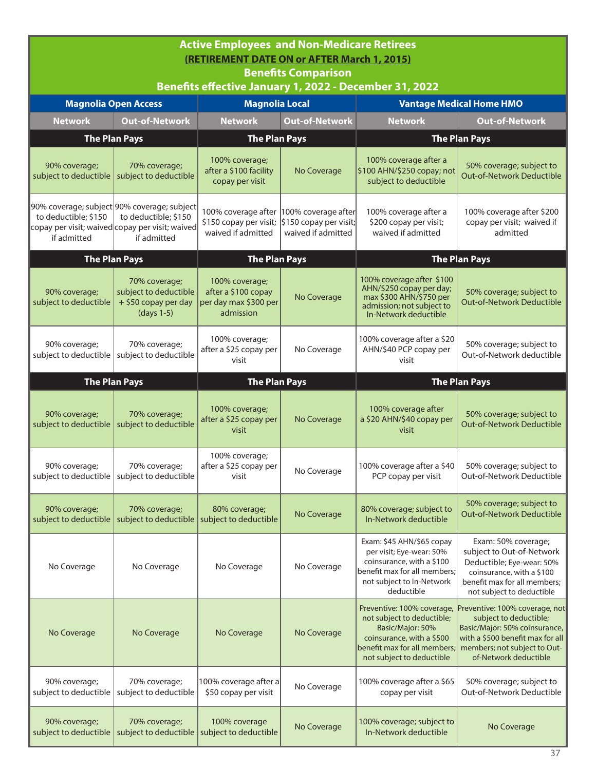| <b>Active Employees and Non-Medicare Retirees</b><br>(RETIREMENT DATE ON or AFTER March 1, 2015)<br><b>Benefits Comparison</b><br>Benefits effective January 1, 2022 - December 31, 2022 |                                                                                                                                       |                                                                             |                                                                     |                                                                                                                                                                        |                                                                                                                                                                                        |  |  |
|------------------------------------------------------------------------------------------------------------------------------------------------------------------------------------------|---------------------------------------------------------------------------------------------------------------------------------------|-----------------------------------------------------------------------------|---------------------------------------------------------------------|------------------------------------------------------------------------------------------------------------------------------------------------------------------------|----------------------------------------------------------------------------------------------------------------------------------------------------------------------------------------|--|--|
|                                                                                                                                                                                          | <b>Magnolia Open Access</b>                                                                                                           | <b>Magnolia Local</b>                                                       |                                                                     |                                                                                                                                                                        | <b>Vantage Medical Home HMO</b>                                                                                                                                                        |  |  |
| <b>Network</b>                                                                                                                                                                           | <b>Out-of-Network</b>                                                                                                                 | <b>Network</b>                                                              | <b>Out-of-Network</b>                                               | <b>Network</b>                                                                                                                                                         | <b>Out-of-Network</b>                                                                                                                                                                  |  |  |
| <b>The Plan Pays</b>                                                                                                                                                                     |                                                                                                                                       | <b>The Plan Pays</b>                                                        |                                                                     |                                                                                                                                                                        | <b>The Plan Pays</b>                                                                                                                                                                   |  |  |
| 90% coverage;<br>subject to deductible                                                                                                                                                   | 70% coverage;<br>subject to deductible                                                                                                | 100% coverage;<br>after a \$100 facility<br>copay per visit                 | No Coverage                                                         | 100% coverage after a<br>\$100 AHN/\$250 copay; not<br>subject to deductible                                                                                           | 50% coverage; subject to<br>Out-of-Network Deductible                                                                                                                                  |  |  |
| to deductible; \$150<br>if admitted                                                                                                                                                      | 90% coverage; subject 90% coverage; subject<br>to deductible; \$150<br>copay per visit; waived copay per visit; waived<br>if admitted | 100% coverage after<br>\$150 copay per visit;<br>waived if admitted         | 100% coverage after<br>\$150 copay per visit;<br>waived if admitted | 100% coverage after a<br>\$200 copay per visit;<br>waived if admitted                                                                                                  | 100% coverage after \$200<br>copay per visit; waived if<br>admitted                                                                                                                    |  |  |
|                                                                                                                                                                                          | <b>The Plan Pays</b>                                                                                                                  | <b>The Plan Pays</b>                                                        |                                                                     |                                                                                                                                                                        | <b>The Plan Pays</b>                                                                                                                                                                   |  |  |
| 90% coverage;<br>subject to deductible                                                                                                                                                   | 70% coverage;<br>subject to deductible<br>+ \$50 copay per day<br>(days 1-5)                                                          | 100% coverage;<br>after a \$100 copay<br>per day max \$300 per<br>admission | No Coverage                                                         | 100% coverage after \$100<br>AHN/\$250 copay per day;<br>max \$300 AHN/\$750 per<br>admission; not subject to<br>In-Network deductible                                 | 50% coverage; subject to<br><b>Out-of-Network Deductible</b>                                                                                                                           |  |  |
| 90% coverage;<br>subject to deductible                                                                                                                                                   | 70% coverage;<br>subject to deductible                                                                                                | 100% coverage;<br>after a \$25 copay per<br>visit                           | No Coverage                                                         | 100% coverage after a \$20<br>AHN/\$40 PCP copay per<br>visit                                                                                                          | 50% coverage; subject to<br>Out-of-Network deductible                                                                                                                                  |  |  |
|                                                                                                                                                                                          | <b>The Plan Pays</b>                                                                                                                  | <b>The Plan Pays</b>                                                        |                                                                     |                                                                                                                                                                        | <b>The Plan Pays</b>                                                                                                                                                                   |  |  |
| 90% coverage;<br>subject to deductible                                                                                                                                                   | 70% coverage;<br>subject to deductible                                                                                                | 100% coverage;<br>after a \$25 copay per<br>visit                           | No Coverage                                                         | 100% coverage after<br>a \$20 AHN/\$40 copay per<br>visit                                                                                                              | 50% coverage; subject to<br>Out-of-Network Deductible                                                                                                                                  |  |  |
| 90% coverage;                                                                                                                                                                            | 70% coverage;<br>subject to deductible   subject to deductible                                                                        | 100% coverage;<br>after a \$25 copay per<br>visit                           | No Coverage                                                         | 100% coverage after a \$40<br>PCP copay per visit                                                                                                                      | 50% coverage; subject to<br>Out-of-Network Deductible                                                                                                                                  |  |  |
| 90% coverage;<br>subject to deductible                                                                                                                                                   | 70% coverage;<br>subject to deductible                                                                                                | 80% coverage;<br>subject to deductible                                      | No Coverage                                                         | 80% coverage; subject to<br>In-Network deductible                                                                                                                      | 50% coverage; subject to<br><b>Out-of-Network Deductible</b>                                                                                                                           |  |  |
| No Coverage                                                                                                                                                                              | No Coverage                                                                                                                           | No Coverage                                                                 | No Coverage                                                         | Exam: \$45 AHN/\$65 copay<br>per visit; Eye-wear: 50%<br>coinsurance, with a \$100<br>benefit max for all members;<br>not subject to In-Network<br>deductible          | Exam: 50% coverage;<br>subject to Out-of-Network<br>Deductible; Eye-wear: 50%<br>coinsurance, with a \$100<br>benefit max for all members;<br>not subject to deductible                |  |  |
| No Coverage                                                                                                                                                                              | No Coverage                                                                                                                           | No Coverage                                                                 | No Coverage                                                         | Preventive: 100% coverage,<br>not subject to deductible;<br>Basic/Major: 50%<br>coinsurance, with a \$500<br>benefit max for all members;<br>not subject to deductible | Preventive: 100% coverage, not<br>subject to deductible;<br>Basic/Major: 50% coinsurance,<br>with a \$500 benefit max for all<br>members; not subject to Out-<br>of-Network deductible |  |  |
| 90% coverage;<br>subject to deductible                                                                                                                                                   | 70% coverage;<br>subject to deductible                                                                                                | 100% coverage after a<br>\$50 copay per visit                               | No Coverage                                                         | 100% coverage after a \$65<br>copay per visit                                                                                                                          | 50% coverage; subject to<br>Out-of-Network Deductible                                                                                                                                  |  |  |
| 90% coverage;<br>subject to deductible                                                                                                                                                   | 70% coverage;<br>subject to deductible                                                                                                | 100% coverage<br>subject to deductible                                      | No Coverage                                                         | 100% coverage; subject to<br>In-Network deductible                                                                                                                     | No Coverage                                                                                                                                                                            |  |  |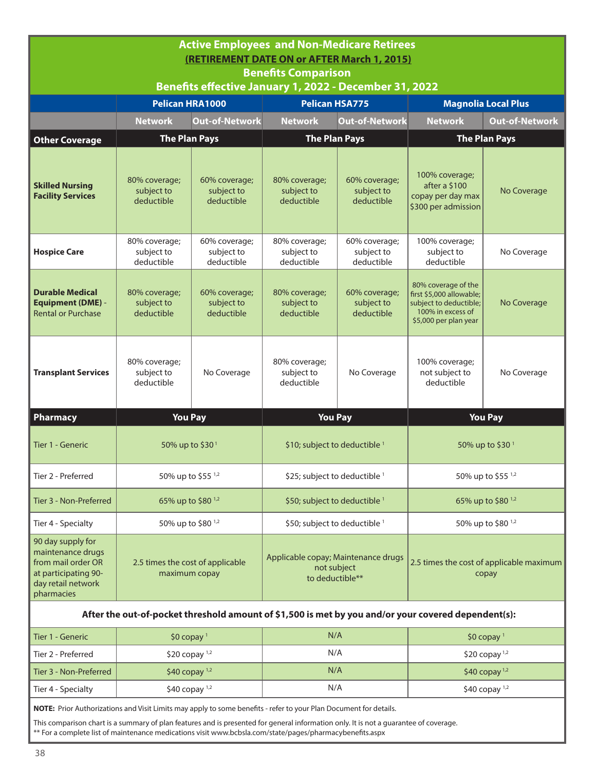| <b>Active Employees and Non-Medicare Retirees</b><br>(RETIREMENT DATE ON or AFTER March 1, 2015)<br><b>Benefits Comparison</b> |                                                        |                                           |                                                                       |                                                              |                                                                                                                         |                               |  |  |  |
|--------------------------------------------------------------------------------------------------------------------------------|--------------------------------------------------------|-------------------------------------------|-----------------------------------------------------------------------|--------------------------------------------------------------|-------------------------------------------------------------------------------------------------------------------------|-------------------------------|--|--|--|
|                                                                                                                                | Benefits effective January 1, 2022 - December 31, 2022 |                                           |                                                                       |                                                              |                                                                                                                         |                               |  |  |  |
|                                                                                                                                | <b>Pelican HRA1000</b>                                 |                                           | <b>Pelican HSA775</b>                                                 |                                                              |                                                                                                                         | <b>Magnolia Local Plus</b>    |  |  |  |
|                                                                                                                                | <b>Network</b>                                         | <b>Out-of-Network</b>                     | <b>Network</b>                                                        | <b>Out-of-Network</b>                                        | <b>Network</b>                                                                                                          | <b>Out-of-Network</b>         |  |  |  |
| <b>Other Coverage</b>                                                                                                          | <b>The Plan Pays</b>                                   |                                           | <b>The Plan Pays</b>                                                  |                                                              |                                                                                                                         | <b>The Plan Pays</b>          |  |  |  |
| <b>Skilled Nursing</b><br><b>Facility Services</b>                                                                             | 80% coverage;<br>subject to<br>deductible              | 60% coverage;<br>subject to<br>deductible | 80% coverage;<br>subject to<br>deductible                             | 60% coverage;<br>subject to<br>deductible                    | 100% coverage;<br>after a \$100<br>copay per day max<br>\$300 per admission                                             | No Coverage                   |  |  |  |
| <b>Hospice Care</b>                                                                                                            | 80% coverage;<br>subject to<br>deductible              | 60% coverage;<br>subject to<br>deductible | 80% coverage;<br>subject to<br>deductible                             | 60% coverage;<br>subject to<br>deductible                    | 100% coverage;<br>subject to<br>deductible                                                                              | No Coverage                   |  |  |  |
| <b>Durable Medical</b><br><b>Equipment (DME) -</b><br><b>Rental or Purchase</b>                                                | 80% coverage;<br>subject to<br>deductible              | 60% coverage;<br>subject to<br>deductible | 80% coverage;<br>subject to<br>deductible                             | 60% coverage;<br>subject to<br>deductible                    | 80% coverage of the<br>first \$5,000 allowable;<br>subject to deductible;<br>100% in excess of<br>\$5,000 per plan year | No Coverage                   |  |  |  |
| <b>Transplant Services</b>                                                                                                     | 80% coverage;<br>subject to<br>deductible              | No Coverage                               | 80% coverage;<br>subject to<br>deductible                             | No Coverage                                                  | 100% coverage;<br>not subject to<br>deductible                                                                          | No Coverage                   |  |  |  |
| <b>Pharmacy</b>                                                                                                                | <b>You Pay</b>                                         |                                           | <b>You Pay</b>                                                        |                                                              |                                                                                                                         | <b>You Pay</b>                |  |  |  |
| Tier 1 - Generic                                                                                                               | 50% up to \$30 <sup>1</sup>                            |                                           |                                                                       | \$10; subject to deductible 1<br>50% up to \$30 <sup>1</sup> |                                                                                                                         |                               |  |  |  |
| Tier 2 - Preferred                                                                                                             | 50% up to \$55 <sup>1,2</sup>                          |                                           | \$25; subject to deductible <sup>1</sup>                              |                                                              |                                                                                                                         | 50% up to \$55 <sup>1,2</sup> |  |  |  |
| Tier 3 - Non-Preferred                                                                                                         | 65% up to \$80 <sup>1,2</sup>                          |                                           | \$50; subject to deductible <sup>1</sup>                              |                                                              |                                                                                                                         | 65% up to \$80 1,2            |  |  |  |
| Tier 4 - Specialty                                                                                                             | 50% up to \$80 1,2                                     |                                           | \$50; subject to deductible <sup>1</sup>                              |                                                              |                                                                                                                         | 50% up to \$80 <sup>1,2</sup> |  |  |  |
| 90 day supply for<br>maintenance drugs<br>from mail order OR<br>at participating 90-<br>day retail network<br>pharmacies       | 2.5 times the cost of applicable<br>maximum copay      |                                           | Applicable copay; Maintenance drugs<br>not subject<br>to deductible** |                                                              | 2.5 times the cost of applicable maximum<br>copay                                                                       |                               |  |  |  |

## **After the out-of-pocket threshold amount of \$1,500 is met by you and/or your covered dependent(s):**

| Tier 1 - Generic       | $$0$ copay $1$   | N/A | $$0$ copay $1$   |
|------------------------|------------------|-----|------------------|
| Tier 2 - Preferred     | \$20 copay $1,2$ | N/A | \$20 copay $1,2$ |
| Tier 3 - Non-Preferred | \$40 copay $1,2$ | N/A | \$40 copay $1,2$ |
| Tier 4 - Specialty     | \$40 copay $1,2$ | N/A | \$40 copay $1,2$ |

**NOTE:** Prior Authorizations and Visit Limits may apply to some benefits - refer to your Plan Document for details.

This comparison chart is a summary of plan features and is presented for general information only. It is not a guarantee of coverage. \*\* For a complete list of maintenance medications visit www.bcbsla.com/state/pages/pharmacybenefits.aspx

I